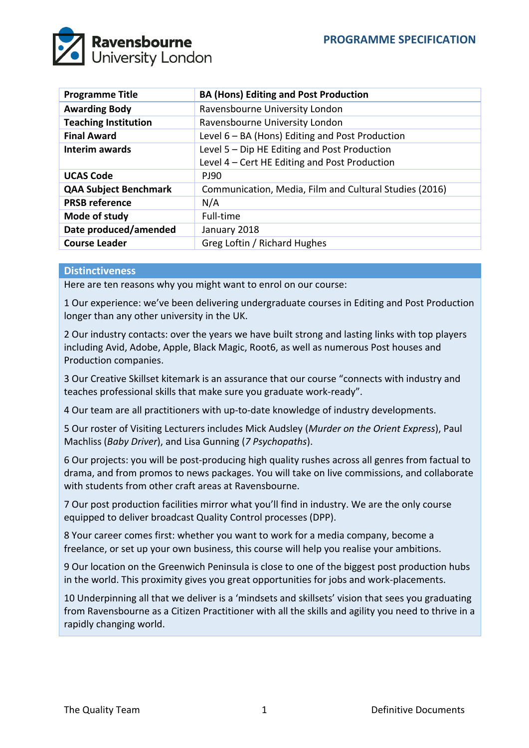

| <b>Programme Title</b>       | <b>BA (Hons) Editing and Post Production</b>           |
|------------------------------|--------------------------------------------------------|
| <b>Awarding Body</b>         | Ravensbourne University London                         |
| <b>Teaching Institution</b>  | Ravensbourne University London                         |
| <b>Final Award</b>           | Level $6 - BA$ (Hons) Editing and Post Production      |
| <b>Interim awards</b>        | Level 5 - Dip HE Editing and Post Production           |
|                              | Level 4 - Cert HE Editing and Post Production          |
| <b>UCAS Code</b>             | <b>PJ90</b>                                            |
| <b>QAA Subject Benchmark</b> | Communication, Media, Film and Cultural Studies (2016) |
| <b>PRSB reference</b>        | N/A                                                    |
| Mode of study                | Full-time                                              |
| Date produced/amended        | January 2018                                           |
| <b>Course Leader</b>         | Greg Loftin / Richard Hughes                           |

### **Distinctiveness**

Here are ten reasons why you might want to enrol on our course:

1 Our experience: we've been delivering undergraduate courses in Editing and Post Production longer than any other university in the UK.

2 Our industry contacts: over the years we have built strong and lasting links with top players including Avid, Adobe, Apple, Black Magic, Root6, as well as numerous Post houses and Production companies.

3 Our Creative Skillset kitemark is an assurance that our course "connects with industry and teaches professional skills that make sure you graduate work-ready".

4 Our team are all practitioners with up-to-date knowledge of industry developments.

5 Our roster of Visiting Lecturers includes Mick Audsley (*Murder on the Orient Express*), Paul Machliss (*Baby Driver*), and Lisa Gunning (*7 Psychopaths*).

6 Our projects: you will be post-producing high quality rushes across all genres from factual to drama, and from promos to news packages. You will take on live commissions, and collaborate with students from other craft areas at Ravensbourne.

7 Our post production facilities mirror what you'll find in industry. We are the only course equipped to deliver broadcast Quality Control processes (DPP).

8 Your career comes first: whether you want to work for a media company, become a freelance, or set up your own business, this course will help you realise your ambitions.

9 Our location on the Greenwich Peninsula is close to one of the biggest post production hubs in the world. This proximity gives you great opportunities for jobs and work-placements.

10 Underpinning all that we deliver is a 'mindsets and skillsets' vision that sees you graduating from Ravensbourne as a Citizen Practitioner with all the skills and agility you need to thrive in a rapidly changing world.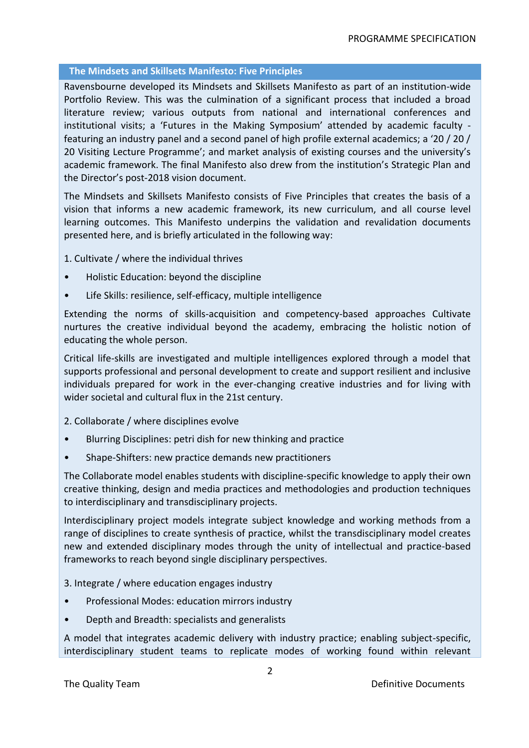# **The Mindsets and Skillsets Manifesto: Five Principles**

Ravensbourne developed its Mindsets and Skillsets Manifesto as part of an institution-wide Portfolio Review. This was the culmination of a significant process that included a broad literature review; various outputs from national and international conferences and institutional visits; a 'Futures in the Making Symposium' attended by academic faculty featuring an industry panel and a second panel of high profile external academics; a '20 / 20 / 20 Visiting Lecture Programme'; and market analysis of existing courses and the university's academic framework. The final Manifesto also drew from the institution's Strategic Plan and the Director's post-2018 vision document.

The Mindsets and Skillsets Manifesto consists of Five Principles that creates the basis of a vision that informs a new academic framework, its new curriculum, and all course level learning outcomes. This Manifesto underpins the validation and revalidation documents presented here, and is briefly articulated in the following way:

1. Cultivate / where the individual thrives

- Holistic Education: beyond the discipline
- Life Skills: resilience, self-efficacy, multiple intelligence

Extending the norms of skills-acquisition and competency-based approaches Cultivate nurtures the creative individual beyond the academy, embracing the holistic notion of educating the whole person.

Critical life-skills are investigated and multiple intelligences explored through a model that supports professional and personal development to create and support resilient and inclusive individuals prepared for work in the ever-changing creative industries and for living with wider societal and cultural flux in the 21st century.

### 2. Collaborate / where disciplines evolve

- Blurring Disciplines: petri dish for new thinking and practice
- Shape-Shifters: new practice demands new practitioners

The Collaborate model enables students with discipline-specific knowledge to apply their own creative thinking, design and media practices and methodologies and production techniques to interdisciplinary and transdisciplinary projects.

Interdisciplinary project models integrate subject knowledge and working methods from a range of disciplines to create synthesis of practice, whilst the transdisciplinary model creates new and extended disciplinary modes through the unity of intellectual and practice-based frameworks to reach beyond single disciplinary perspectives.

- 3. Integrate / where education engages industry
- Professional Modes: education mirrors industry
- Depth and Breadth: specialists and generalists

A model that integrates academic delivery with industry practice; enabling subject-specific, interdisciplinary student teams to replicate modes of working found within relevant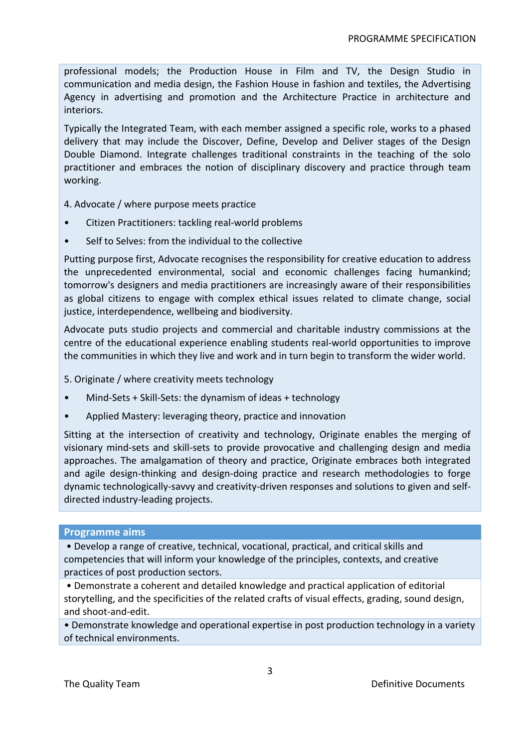professional models; the Production House in Film and TV, the Design Studio in communication and media design, the Fashion House in fashion and textiles, the Advertising Agency in advertising and promotion and the Architecture Practice in architecture and interiors.

Typically the Integrated Team, with each member assigned a specific role, works to a phased delivery that may include the Discover, Define, Develop and Deliver stages of the Design Double Diamond. Integrate challenges traditional constraints in the teaching of the solo practitioner and embraces the notion of disciplinary discovery and practice through team working.

4. Advocate / where purpose meets practice

- Citizen Practitioners: tackling real-world problems
- Self to Selves: from the individual to the collective

Putting purpose first, Advocate recognises the responsibility for creative education to address the unprecedented environmental, social and economic challenges facing humankind; tomorrow's designers and media practitioners are increasingly aware of their responsibilities as global citizens to engage with complex ethical issues related to climate change, social justice, interdependence, wellbeing and biodiversity.

Advocate puts studio projects and commercial and charitable industry commissions at the centre of the educational experience enabling students real-world opportunities to improve the communities in which they live and work and in turn begin to transform the wider world.

5. Originate / where creativity meets technology

- Mind-Sets + Skill-Sets: the dynamism of ideas + technology
- Applied Mastery: leveraging theory, practice and innovation

Sitting at the intersection of creativity and technology, Originate enables the merging of visionary mind-sets and skill-sets to provide provocative and challenging design and media approaches. The amalgamation of theory and practice, Originate embraces both integrated and agile design-thinking and design-doing practice and research methodologies to forge dynamic technologically-savvy and creativity-driven responses and solutions to given and selfdirected industry-leading projects.

### **Programme aims**

• Develop a range of creative, technical, vocational, practical, and critical skills and competencies that will inform your knowledge of the principles, contexts, and creative practices of post production sectors.

• Demonstrate a coherent and detailed knowledge and practical application of editorial storytelling, and the specificities of the related crafts of visual effects, grading, sound design, and shoot-and-edit.

• Demonstrate knowledge and operational expertise in post production technology in a variety of technical environments.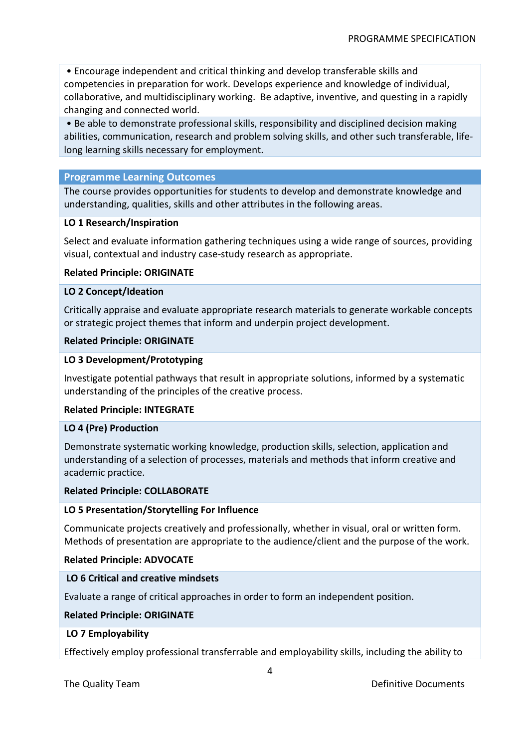• Encourage independent and critical thinking and develop transferable skills and competencies in preparation for work. Develops experience and knowledge of individual, collaborative, and multidisciplinary working. Be adaptive, inventive, and questing in a rapidly changing and connected world.

• Be able to demonstrate professional skills, responsibility and disciplined decision making abilities, communication, research and problem solving skills, and other such transferable, lifelong learning skills necessary for employment.

# **Programme Learning Outcomes**

The course provides opportunities for students to develop and demonstrate knowledge and understanding, qualities, skills and other attributes in the following areas.

### **LO 1 Research/Inspiration**

Select and evaluate information gathering techniques using a wide range of sources, providing visual, contextual and industry case-study research as appropriate.

### **Related Principle: ORIGINATE**

### **LO 2 Concept/Ideation**

Critically appraise and evaluate appropriate research materials to generate workable concepts or strategic project themes that inform and underpin project development.

### **Related Principle: ORIGINATE**

### **LO 3 Development/Prototyping**

Investigate potential pathways that result in appropriate solutions, informed by a systematic understanding of the principles of the creative process.

### **Related Principle: INTEGRATE**

### **LO 4 (Pre) Production**

Demonstrate systematic working knowledge, production skills, selection, application and understanding of a selection of processes, materials and methods that inform creative and academic practice.

### **Related Principle: COLLABORATE**

### **LO 5 Presentation/Storytelling For Influence**

Communicate projects creatively and professionally, whether in visual, oral or written form. Methods of presentation are appropriate to the audience/client and the purpose of the work.

### **Related Principle: ADVOCATE**

### **LO 6 Critical and creative mindsets**

Evaluate a range of critical approaches in order to form an independent position.

### **Related Principle: ORIGINATE**

### **LO 7 Employability**

Effectively employ professional transferrable and employability skills, including the ability to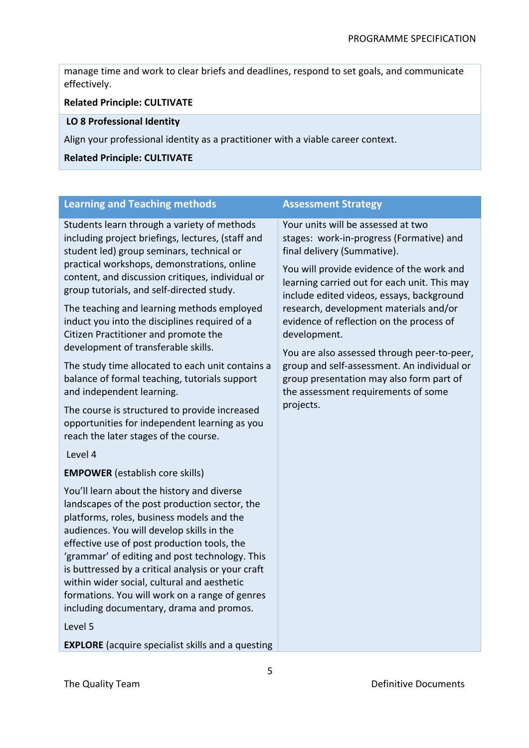manage time and work to clear briefs and deadlines, respond to set goals, and communicate effectively.

# **Related Principle: CULTIVATE**

# **LO 8 Professional Identity**

Align your professional identity as a practitioner with a viable career context.

### **Related Principle: CULTIVATE**

| <b>Learning and Teaching methods</b>                                                                                                                                                                                                                                                                                                                                                                                                                                                                                                                                                                                                                                                                                                                                | <b>Assessment Strategy</b>                                                                                                                                                                                                                                                                                                                                                                                                                                                                                                                                  |  |  |  |
|---------------------------------------------------------------------------------------------------------------------------------------------------------------------------------------------------------------------------------------------------------------------------------------------------------------------------------------------------------------------------------------------------------------------------------------------------------------------------------------------------------------------------------------------------------------------------------------------------------------------------------------------------------------------------------------------------------------------------------------------------------------------|-------------------------------------------------------------------------------------------------------------------------------------------------------------------------------------------------------------------------------------------------------------------------------------------------------------------------------------------------------------------------------------------------------------------------------------------------------------------------------------------------------------------------------------------------------------|--|--|--|
| Students learn through a variety of methods<br>including project briefings, lectures, (staff and<br>student led) group seminars, technical or<br>practical workshops, demonstrations, online<br>content, and discussion critiques, individual or<br>group tutorials, and self-directed study.<br>The teaching and learning methods employed<br>induct you into the disciplines required of a<br>Citizen Practitioner and promote the<br>development of transferable skills.<br>The study time allocated to each unit contains a<br>balance of formal teaching, tutorials support<br>and independent learning.<br>The course is structured to provide increased<br>opportunities for independent learning as you<br>reach the later stages of the course.<br>Level 4 | Your units will be assessed at two<br>stages: work-in-progress (Formative) and<br>final delivery (Summative).<br>You will provide evidence of the work and<br>learning carried out for each unit. This may<br>include edited videos, essays, background<br>research, development materials and/or<br>evidence of reflection on the process of<br>development.<br>You are also assessed through peer-to-peer,<br>group and self-assessment. An individual or<br>group presentation may also form part of<br>the assessment requirements of some<br>projects. |  |  |  |
| <b>EMPOWER</b> (establish core skills)                                                                                                                                                                                                                                                                                                                                                                                                                                                                                                                                                                                                                                                                                                                              |                                                                                                                                                                                                                                                                                                                                                                                                                                                                                                                                                             |  |  |  |
| You'll learn about the history and diverse<br>landscapes of the post production sector, the<br>platforms, roles, business models and the<br>audiences. You will develop skills in the<br>effective use of post production tools, the<br>'grammar' of editing and post technology. This<br>is buttressed by a critical analysis or your craft<br>within wider social, cultural and aesthetic<br>formations. You will work on a range of genres<br>including documentary, drama and promos.<br>Level 5                                                                                                                                                                                                                                                                |                                                                                                                                                                                                                                                                                                                                                                                                                                                                                                                                                             |  |  |  |
| <b>EXPLORE</b> (acquire specialist skills and a questing                                                                                                                                                                                                                                                                                                                                                                                                                                                                                                                                                                                                                                                                                                            |                                                                                                                                                                                                                                                                                                                                                                                                                                                                                                                                                             |  |  |  |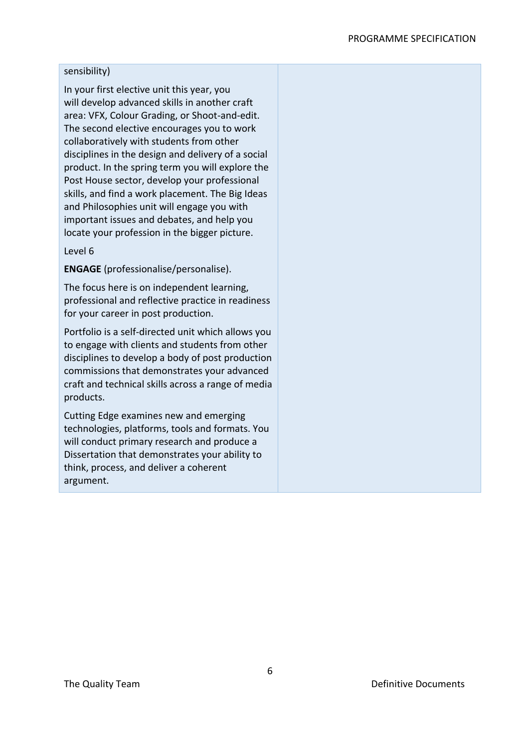#### PROGRAMME SPECIFICATION

### sensibility)

In your first elective unit this year, you will develop advanced skills in another craft area: VFX, Colour Grading, or Shoot-and-edit. The second elective encourages you to work collaboratively with students from other disciplines in the design and delivery of a social product. In the spring term you will explore the Post House sector, develop your professional skills, and find a work placement. The Big Ideas and Philosophies unit will engage you with important issues and debates, and help you locate your profession in the bigger picture.

#### Level 6

**ENGAGE** (professionalise/personalise).

The focus here is on independent learning, professional and reflective practice in readiness for your career in post production.

Portfolio is a self-directed unit which allows you to engage with clients and students from other disciplines to develop a body of post production commissions that demonstrates your advanced craft and technical skills across a range of media products.

Cutting Edge examines new and emerging technologies, platforms, tools and formats. You will conduct primary research and produce a Dissertation that demonstrates your ability to think, process, and deliver a coherent argument.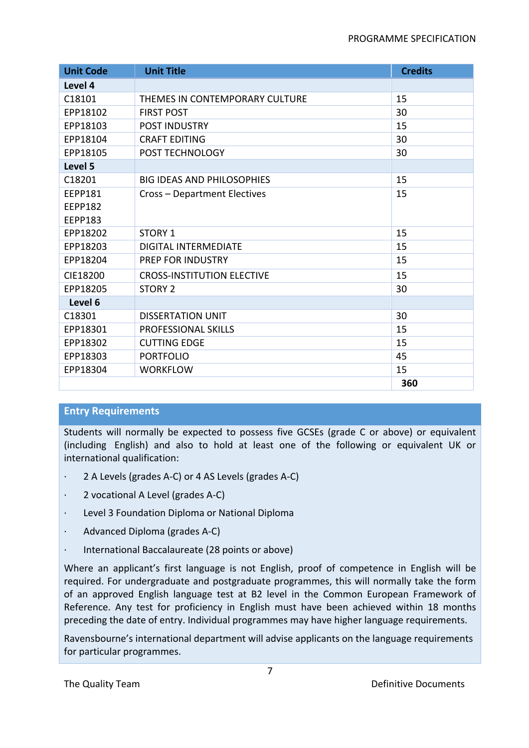| <b>Unit Code</b> | <b>Unit Title</b>                 | <b>Credits</b> |
|------------------|-----------------------------------|----------------|
| Level 4          |                                   |                |
| C18101           | THEMES IN CONTEMPORARY CULTURE    | 15             |
| EPP18102         | <b>FIRST POST</b>                 | 30             |
| EPP18103         | <b>POST INDUSTRY</b>              | 15             |
| EPP18104         | <b>CRAFT EDITING</b>              | 30             |
| EPP18105         | POST TECHNOLOGY                   | 30             |
| Level 5          |                                   |                |
| C18201           | <b>BIG IDEAS AND PHILOSOPHIES</b> | 15             |
| <b>EEPP181</b>   | Cross - Department Electives      | 15             |
| <b>EEPP182</b>   |                                   |                |
| <b>EEPP183</b>   |                                   |                |
| EPP18202         | <b>STORY 1</b>                    | 15             |
| EPP18203         | <b>DIGITAL INTERMEDIATE</b>       | 15             |
| EPP18204         | PREP FOR INDUSTRY                 | 15             |
| CIE18200         | <b>CROSS-INSTITUTION ELECTIVE</b> | 15             |
| EPP18205         | <b>STORY 2</b>                    | 30             |
| Level 6          |                                   |                |
| C18301           | <b>DISSERTATION UNIT</b>          | 30             |
| EPP18301         | <b>PROFESSIONAL SKILLS</b>        | 15             |
| EPP18302         | <b>CUTTING EDGE</b>               | 15             |
| EPP18303         | <b>PORTFOLIO</b>                  | 45             |
| EPP18304         | <b>WORKFLOW</b>                   | 15             |
|                  |                                   | 360            |

# **Entry Requirements**

Students will normally be expected to possess five GCSEs (grade C or above) or equivalent (including English) and also to hold at least one of the following or equivalent UK or international qualification:

- · 2 A Levels (grades A-C) or 4 AS Levels (grades A-C)
- · 2 vocational A Level (grades A-C)
- · Level 3 Foundation Diploma or National Diploma
- · Advanced Diploma (grades A-C)
- · International Baccalaureate (28 points or above)

Where an applicant's first language is not English, proof of competence in English will be required. For undergraduate and postgraduate programmes, this will normally take the form of an approved English language test at B2 level in the Common European Framework of Reference. Any test for proficiency in English must have been achieved within 18 months preceding the date of entry. Individual programmes may have higher language requirements.

Ravensbourne's international department will advise applicants on the language requirements for particular programmes.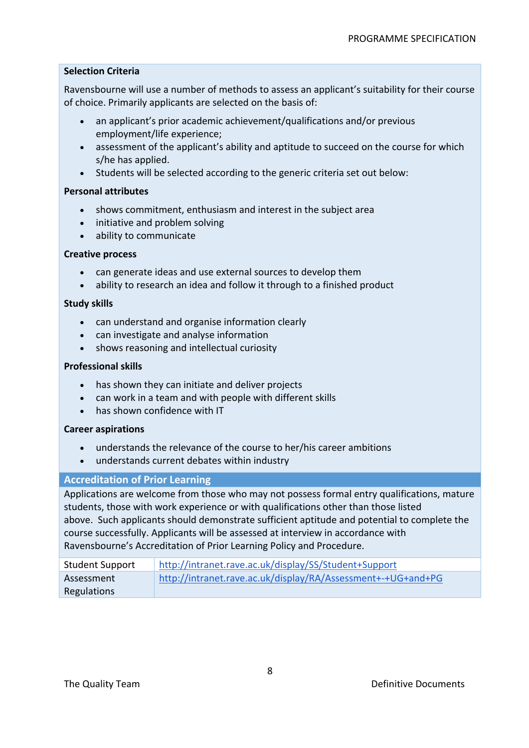# **Selection Criteria**

Ravensbourne will use a number of methods to assess an applicant's suitability for their course of choice. Primarily applicants are selected on the basis of:

- an applicant's prior academic achievement/qualifications and/or previous employment/life experience;
- assessment of the applicant's ability and aptitude to succeed on the course for which s/he has applied.
- Students will be selected according to the generic criteria set out below:

# **Personal attributes**

- shows commitment, enthusiasm and interest in the subject area
- initiative and problem solving
- ability to communicate

### **Creative process**

- can generate ideas and use external sources to develop them
- ability to research an idea and follow it through to a finished product

### **Study skills**

- can understand and organise information clearly
- can investigate and analyse information
- shows reasoning and intellectual curiosity

### **Professional skills**

- has shown they can initiate and deliver projects
- can work in a team and with people with different skills
- has shown confidence with IT

### **Career aspirations**

- understands the relevance of the course to her/his career ambitions
- understands current debates within industry

### **Accreditation of Prior Learning**

Applications are welcome from those who may not possess formal entry qualifications, mature students, those with work experience or with qualifications other than those listed above. Such applicants should demonstrate sufficient aptitude and potential to complete the course successfully. Applicants will be assessed at interview in accordance with Ravensbourne's Accreditation of Prior Learning Policy and Procedure.

| <b>Student Support</b> | http://intranet.rave.ac.uk/display/SS/Student+Support        |
|------------------------|--------------------------------------------------------------|
| Assessment             | http://intranet.rave.ac.uk/display/RA/Assessment+-+UG+and+PG |
| Regulations            |                                                              |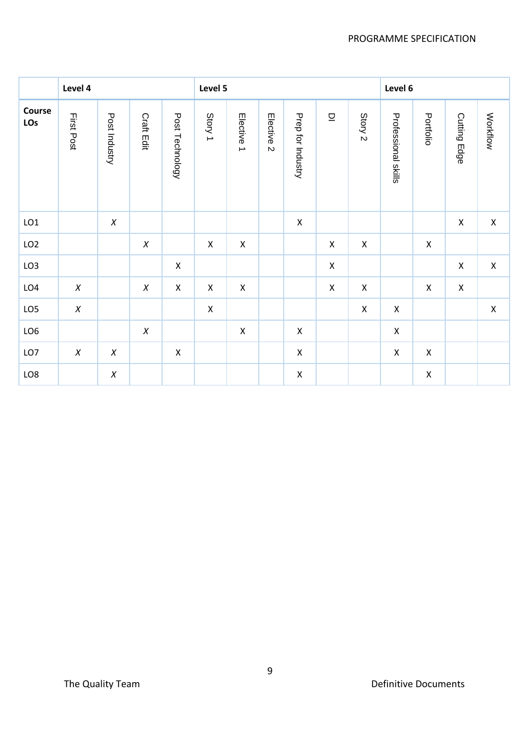|                 | Level 4    |                  |                  |                 | Level 5            |                    |                       |                    |                    | Level 6        |                     |                    |                    |             |
|-----------------|------------|------------------|------------------|-----------------|--------------------|--------------------|-----------------------|--------------------|--------------------|----------------|---------------------|--------------------|--------------------|-------------|
| Course<br>LOs   | First Post | Post Industry    | Craft Edit       | Post Technology | Story 1            | Elective 1         | Elective <sub>2</sub> | Prep for Industry  | 므                  | Story 2        | Professional skills | Portfolio          | Cutting Edge       | Workflow    |
| LO1             |            | $\boldsymbol{X}$ |                  |                 |                    |                    |                       | $\mathsf X$        |                    |                |                     |                    | $\pmb{\mathsf{X}}$ | $\mathsf X$ |
| LO <sub>2</sub> |            |                  | $\boldsymbol{X}$ |                 | $\pmb{\mathsf{X}}$ | $\mathsf X$        |                       |                    | $\pmb{\mathsf{X}}$ | $\pmb{\times}$ |                     | $\pmb{\mathsf{X}}$ |                    |             |
| LO <sub>3</sub> |            |                  |                  | $\mathsf X$     |                    |                    |                       |                    | $\mathsf X$        |                |                     |                    | $\pmb{\mathsf{X}}$ | $\mathsf X$ |
| LO4             | $\chi$     |                  | $\boldsymbol{X}$ | $\mathsf X$     | $\pmb{\times}$     | $\mathsf X$        |                       |                    | $\pmb{\mathsf{X}}$ | $\pmb{\times}$ |                     | $\pmb{\mathsf{X}}$ | $\pmb{\mathsf{X}}$ |             |
| LO5             | $\chi$     |                  |                  |                 | $\pmb{\times}$     |                    |                       |                    |                    | $\mathsf X$    | $\pmb{\mathsf{X}}$  |                    |                    | $\mathsf X$ |
| LO <sub>6</sub> |            |                  | $\chi$           |                 |                    | $\pmb{\mathsf{X}}$ |                       | $\mathsf X$        |                    |                | $\mathsf X$         |                    |                    |             |
| LO7             | $\chi$     | $\chi$           |                  | $\mathsf X$     |                    |                    |                       | $\pmb{\mathsf{X}}$ |                    |                | $\mathsf X$         | $\pmb{\mathsf{X}}$ |                    |             |
| LO8             |            | $\chi$           |                  |                 |                    |                    |                       | $\pmb{\mathsf{X}}$ |                    |                |                     | $\pmb{\mathsf{X}}$ |                    |             |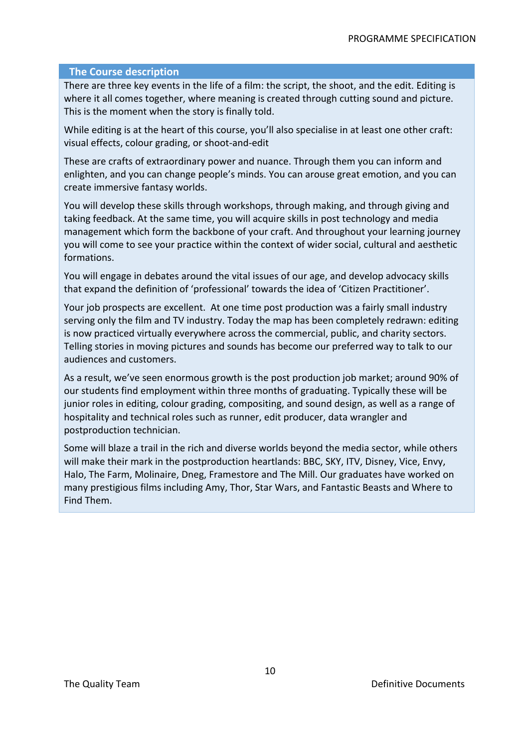### **The Course description**

There are three key events in the life of a film: the script, the shoot, and the edit. Editing is where it all comes together, where meaning is created through cutting sound and picture. This is the moment when the story is finally told.

While editing is at the heart of this course, you'll also specialise in at least one other craft: visual effects, colour grading, or shoot-and-edit

These are crafts of extraordinary power and nuance. Through them you can inform and enlighten, and you can change people's minds. You can arouse great emotion, and you can create immersive fantasy worlds.

You will develop these skills through workshops, through making, and through giving and taking feedback. At the same time, you will acquire skills in post technology and media management which form the backbone of your craft. And throughout your learning journey you will come to see your practice within the context of wider social, cultural and aesthetic formations.

You will engage in debates around the vital issues of our age, and develop advocacy skills that expand the definition of 'professional' towards the idea of 'Citizen Practitioner'.

Your job prospects are excellent. At one time post production was a fairly small industry serving only the film and TV industry. Today the map has been completely redrawn: editing is now practiced virtually everywhere across the commercial, public, and charity sectors. Telling stories in moving pictures and sounds has become our preferred way to talk to our audiences and customers.

As a result, we've seen enormous growth is the post production job market; around 90% of our students find employment within three months of graduating. Typically these will be junior roles in editing, colour grading, compositing, and sound design, as well as a range of hospitality and technical roles such as runner, edit producer, data wrangler and postproduction technician.

Some will blaze a trail in the rich and diverse worlds beyond the media sector, while others will make their mark in the postproduction heartlands: BBC, SKY, ITV, Disney, Vice, Envy, Halo, The Farm, Molinaire, Dneg, Framestore and The Mill. Our graduates have worked on many prestigious films including Amy, Thor, Star Wars, and Fantastic Beasts and Where to Find Them.